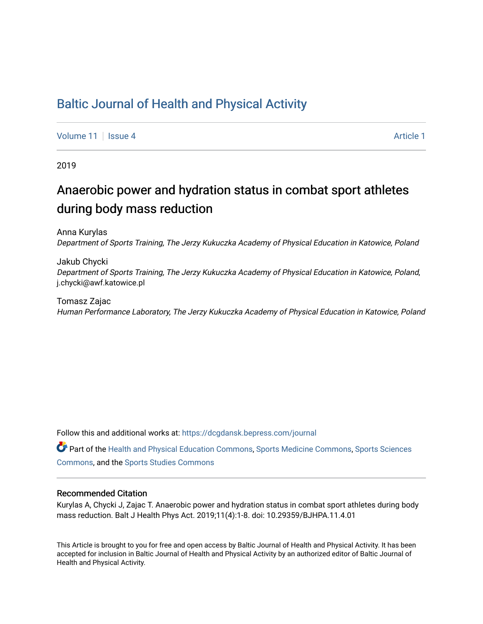# [Baltic Journal of Health and Physical Activity](https://dcgdansk.bepress.com/journal)

[Volume 11](https://dcgdansk.bepress.com/journal/vol11) | [Issue 4](https://dcgdansk.bepress.com/journal/vol11/iss4) Article 1

2019

# Anaerobic power and hydration status in combat sport athletes during body mass reduction

Anna Kurylas Department of Sports Training, The Jerzy Kukuczka Academy of Physical Education in Katowice, Poland

Jakub Chycki Department of Sports Training, The Jerzy Kukuczka Academy of Physical Education in Katowice, Poland, j.chycki@awf.katowice.pl

Tomasz Zajac Human Performance Laboratory, The Jerzy Kukuczka Academy of Physical Education in Katowice, Poland

Follow this and additional works at: [https://dcgdansk.bepress.com/journal](https://dcgdansk.bepress.com/journal?utm_source=dcgdansk.bepress.com%2Fjournal%2Fvol11%2Fiss4%2F1&utm_medium=PDF&utm_campaign=PDFCoverPages)

Part of the [Health and Physical Education Commons](http://network.bepress.com/hgg/discipline/1327?utm_source=dcgdansk.bepress.com%2Fjournal%2Fvol11%2Fiss4%2F1&utm_medium=PDF&utm_campaign=PDFCoverPages), [Sports Medicine Commons,](http://network.bepress.com/hgg/discipline/1331?utm_source=dcgdansk.bepress.com%2Fjournal%2Fvol11%2Fiss4%2F1&utm_medium=PDF&utm_campaign=PDFCoverPages) [Sports Sciences](http://network.bepress.com/hgg/discipline/759?utm_source=dcgdansk.bepress.com%2Fjournal%2Fvol11%2Fiss4%2F1&utm_medium=PDF&utm_campaign=PDFCoverPages) [Commons](http://network.bepress.com/hgg/discipline/759?utm_source=dcgdansk.bepress.com%2Fjournal%2Fvol11%2Fiss4%2F1&utm_medium=PDF&utm_campaign=PDFCoverPages), and the [Sports Studies Commons](http://network.bepress.com/hgg/discipline/1198?utm_source=dcgdansk.bepress.com%2Fjournal%2Fvol11%2Fiss4%2F1&utm_medium=PDF&utm_campaign=PDFCoverPages) 

#### Recommended Citation

Kurylas A, Chycki J, Zajac T. Anaerobic power and hydration status in combat sport athletes during body mass reduction. Balt J Health Phys Act. 2019;11(4):1-8. doi: 10.29359/BJHPA.11.4.01

This Article is brought to you for free and open access by Baltic Journal of Health and Physical Activity. It has been accepted for inclusion in Baltic Journal of Health and Physical Activity by an authorized editor of Baltic Journal of Health and Physical Activity.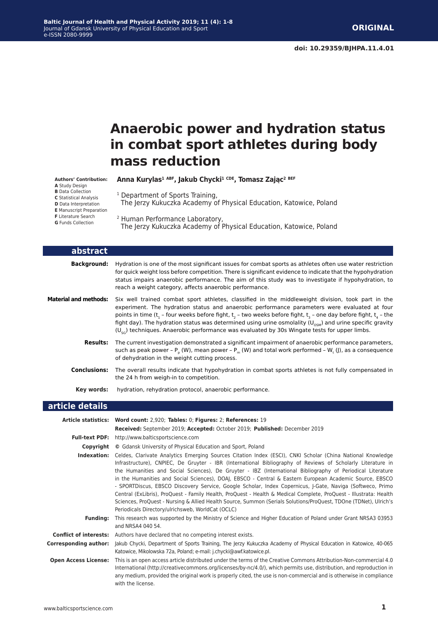# **Anaerobic power and hydration status in combat sport athletes during body mass reduction**

**Anna Kurylas1 ABF, Jakub Chycki1 CDE, Tomasz Zając<sup>2</sup> BEF Authors' Contribution:**

<sup>1</sup> Department of Sports Training,

**A** Study Design **B** Data Collection **C** Statistical Analysis **D** Data Interpretation **E** Manuscript Preparation **F** Literature Search

**G** Funds Collection

2 Human Performance Laboratory, The Jerzy Kukuczka Academy of Physical Education, Katowice, Poland

The Jerzy Kukuczka Academy of Physical Education, Katowice, Poland

| abstract                     |                                                                                                                                                                                                                                                                                                                                                                                                                                                                                                                                                                                                 |
|------------------------------|-------------------------------------------------------------------------------------------------------------------------------------------------------------------------------------------------------------------------------------------------------------------------------------------------------------------------------------------------------------------------------------------------------------------------------------------------------------------------------------------------------------------------------------------------------------------------------------------------|
| Background:                  | Hydration is one of the most significant issues for combat sports as athletes often use water restriction<br>for quick weight loss before competition. There is significant evidence to indicate that the hypohydration<br>status impairs anaerobic performance. The aim of this study was to investigate if hypohydration, to<br>reach a weight category, affects anaerobic performance.                                                                                                                                                                                                       |
| <b>Material and methods:</b> | Six well trained combat sport athletes, classified in the middleweight division, took part in the<br>experiment. The hydration status and anaerobic performance parameters were evaluated at four<br>points in time (t <sub>1</sub> - four weeks before fight, t <sub>2</sub> - two weeks before fight, t <sub>3</sub> - one day before fight, t <sub>4</sub> - the<br>fight day). The hydration status was determined using urine osmolality ( $U_{\alpha s}$ ) and urine specific gravity<br>$(U_{sc})$ techniques. Anaerobic performance was evaluated by 30s Wingate tests for upper limbs. |
| <b>Results:</b>              | The current investigation demonstrated a significant impairment of anaerobic performance parameters,<br>such as peak power - P <sub>n</sub> (W), mean power - P <sub>m</sub> (W) and total work performed - W <sub>r</sub> (J), as a consequence<br>of dehydration in the weight cutting process.                                                                                                                                                                                                                                                                                               |
| <b>Conclusions:</b>          | The overall results indicate that hypohydration in combat sports athletes is not fully compensated in<br>the 24 h from weigh-in to competition.                                                                                                                                                                                                                                                                                                                                                                                                                                                 |
| Key words:                   | hydration, rehydration protocol, anaerobic performance.                                                                                                                                                                                                                                                                                                                                                                                                                                                                                                                                         |
| .                            |                                                                                                                                                                                                                                                                                                                                                                                                                                                                                                                                                                                                 |

#### **article details**

|                              | Article statistics: Word count: 2,920; Tables: 0; Figures: 2; References: 19                                                                                                                                                                                                                                                                                                                                                                                                                                                                                                                                                                                                                                                                                                                                                                                  |  |  |  |  |  |
|------------------------------|---------------------------------------------------------------------------------------------------------------------------------------------------------------------------------------------------------------------------------------------------------------------------------------------------------------------------------------------------------------------------------------------------------------------------------------------------------------------------------------------------------------------------------------------------------------------------------------------------------------------------------------------------------------------------------------------------------------------------------------------------------------------------------------------------------------------------------------------------------------|--|--|--|--|--|
|                              | Received: September 2019; Accepted: October 2019; Published: December 2019                                                                                                                                                                                                                                                                                                                                                                                                                                                                                                                                                                                                                                                                                                                                                                                    |  |  |  |  |  |
|                              | <b>Full-text PDF:</b> http://www.balticsportscience.com                                                                                                                                                                                                                                                                                                                                                                                                                                                                                                                                                                                                                                                                                                                                                                                                       |  |  |  |  |  |
| Copyright                    | © Gdansk University of Physical Education and Sport, Poland                                                                                                                                                                                                                                                                                                                                                                                                                                                                                                                                                                                                                                                                                                                                                                                                   |  |  |  |  |  |
| Indexation:                  | Celdes, Clarivate Analytics Emerging Sources Citation Index (ESCI), CNKI Scholar (China National Knowledge<br>Infrastructure), CNPIEC, De Gruyter - IBR (International Bibliography of Reviews of Scholarly Literature in<br>the Humanities and Social Sciences), De Gruyter - IBZ (International Bibliography of Periodical Literature<br>in the Humanities and Social Sciences), DOAJ, EBSCO - Central & Eastern European Academic Source, EBSCO<br>- SPORTDiscus, EBSCO Discovery Service, Google Scholar, Index Copernicus, J-Gate, Naviga (Softweco, Primo<br>Central (ExLibris), ProQuest - Family Health, ProQuest - Health & Medical Complete, ProQuest - Illustrata: Health<br>Sciences, ProQuest - Nursing & Allied Health Source, Summon (Serials Solutions/ProQuest, TDOne (TDNet), Ulrich's<br>Periodicals Directory/ulrichsweb, WorldCat (OCLC) |  |  |  |  |  |
| <b>Funding:</b>              | This research was supported by the Ministry of Science and Higher Education of Poland under Grant NRSA3 03953<br>and NRSA4 040 54.                                                                                                                                                                                                                                                                                                                                                                                                                                                                                                                                                                                                                                                                                                                            |  |  |  |  |  |
|                              | <b>Conflict of interests:</b> Authors have declared that no competing interest exists.                                                                                                                                                                                                                                                                                                                                                                                                                                                                                                                                                                                                                                                                                                                                                                        |  |  |  |  |  |
| <b>Corresponding author:</b> | Jakub Chycki, Department of Sports Training, The Jerzy Kukuczka Academy of Physical Education in Katowice, 40-065<br>Katowice, Mikolowska 72a, Poland; e-mail: j.chycki@awf.katowice.pl.                                                                                                                                                                                                                                                                                                                                                                                                                                                                                                                                                                                                                                                                      |  |  |  |  |  |
| <b>Open Access License:</b>  | This is an open access article distributed under the terms of the Creative Commons Attribution-Non-commercial 4.0<br>International (http://creativecommons.org/licenses/by-nc/4.0/), which permits use, distribution, and reproduction in<br>any medium, provided the original work is properly cited, the use is non-commercial and is otherwise in compliance<br>with the license.                                                                                                                                                                                                                                                                                                                                                                                                                                                                          |  |  |  |  |  |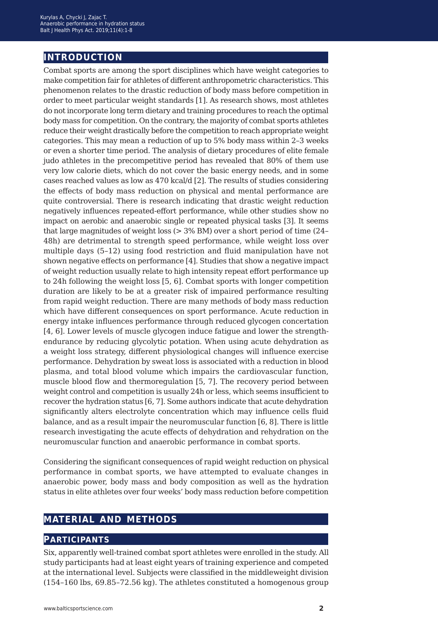# **introduction**

Combat sports are among the sport disciplines which have weight categories to make competition fair for athletes of different anthropometric characteristics. This phenomenon relates to the drastic reduction of body mass before competition in order to meet particular weight standards [1]. As research shows, most athletes do not incorporate long term dietary and training procedures to reach the optimal body mass for competition. On the contrary, the majority of combat sports athletes reduce their weight drastically before the competition to reach appropriate weight categories. This may mean a reduction of up to 5% body mass within 2–3 weeks or even a shorter time period. The analysis of dietary procedures of elite female judo athletes in the precompetitive period has revealed that 80% of them use very low calorie diets, which do not cover the basic energy needs, and in some cases reached values as low as 470 kcal/d [2]. The results of studies considering the effects of body mass reduction on physical and mental performance are quite controversial. There is research indicating that drastic weight reduction negatively influences repeated-effort performance, while other studies show no impact on aerobic and anaerobic single or repeated physical tasks [3]. It seems that large magnitudes of weight loss (> 3% BM) over a short period of time (24– 48h) are detrimental to strength speed performance, while weight loss over multiple days (5–12) using food restriction and fluid manipulation have not shown negative effects on performance [4]. Studies that show a negative impact of weight reduction usually relate to high intensity repeat effort performance up to 24h following the weight loss [5, 6]. Combat sports with longer competition duration are likely to be at a greater risk of impaired performance resulting from rapid weight reduction. There are many methods of body mass reduction which have different consequences on sport performance. Acute reduction in energy intake influences performance through reduced glycogen concertation [4, 6]. Lower levels of muscle glycogen induce fatigue and lower the strengthendurance by reducing glycolytic potation. When using acute dehydration as a weight loss strategy, different physiological changes will influence exercise performance. Dehydration by sweat loss is associated with a reduction in blood plasma, and total blood volume which impairs the cardiovascular function, muscle blood flow and thermoregulation [5, 7]. The recovery period between weight control and competition is usually 24h or less, which seems insufficient to recover the hydration status [6, 7]. Some authors indicate that acute dehydration significantly alters electrolyte concentration which may influence cells fluid balance, and as a result impair the neuromuscular function [6, 8]. There is little research investigating the acute effects of dehydration and rehydration on the neuromuscular function and anaerobic performance in combat sports.

Considering the significant consequences of rapid weight reduction on physical performance in combat sports, we have attempted to evaluate changes in anaerobic power, body mass and body composition as well as the hydration status in elite athletes over four weeks' body mass reduction before competition

## **material and methods**

#### **participants**

Six, apparently well-trained combat sport athletes were enrolled in the study. All study participants had at least eight years of training experience and competed at the international level. Subjects were classified in the middleweight division (154–160 lbs, 69.85–72.56 kg). The athletes constituted a homogenous group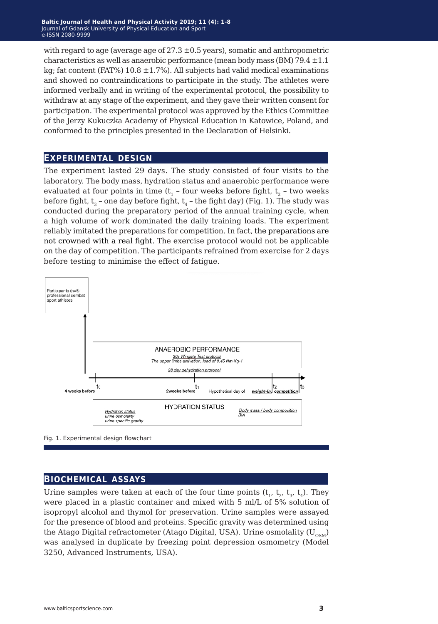with regard to age (average age of  $27.3 \pm 0.5$  years), somatic and anthropometric characteristics as well as anaerobic performance (mean body mass (BM) 79.4  $\pm$ 1.1 kg; fat content (FAT%)  $10.8 \pm 1.7$ %). All subjects had valid medical examinations and showed no contraindications to participate in the study. The athletes were informed verbally and in writing of the experimental protocol, the possibility to withdraw at any stage of the experiment, and they gave their written consent for participation. The experimental protocol was approved by the Ethics Committee of the Jerzy Kukuczka Academy of Physical Education in Katowice, Poland, and conformed to the principles presented in the Declaration of Helsinki.

### **experimental design**

The experiment lasted 29 days. The study consisted of four visits to the laboratory. The body mass, hydration status and anaerobic performance were evaluated at four points in time  $(t<sub>1</sub> - four weeks before fight, t<sub>2</sub> - two weeks)$ before fight,  $t_3$  – one day before fight,  $t_4$  – the fight day) (Fig. 1). The study was conducted during the preparatory period of the annual training cycle, when a high volume of work dominated the daily training loads. The experiment reliably imitated the preparations for competition. In fact, the preparations are not crowned with a real fight. The exercise protocol would not be applicable on the day of competition. The participants refrained from exercise for 2 days before testing to minimise the effect of fatigue.



Fig. 1. Experimental design flowchart

### **biochemical assays**

Urine samples were taken at each of the four time points  $(t_1, t_2, t_3, t_4)$ . They were placed in a plastic container and mixed with 5 ml/L of 5% solution of isopropyl alcohol and thymol for preservation. Urine samples were assayed for the presence of blood and proteins. Specific gravity was determined using the Atago Digital refractometer (Atago Digital, USA). Urine osmolality ( $U_{\text{osm}}$ ) was analysed in duplicate by freezing point depression osmometry (Model 3250, Advanced Instruments, USA).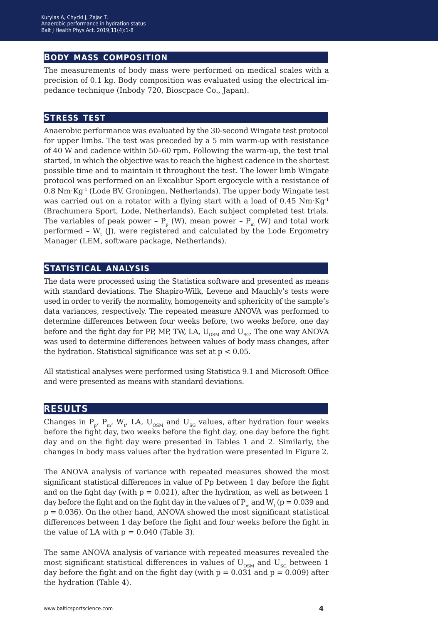#### **body mass composition**

The measurements of body mass were performed on medical scales with a precision of 0.1 kg. Body composition was evaluated using the electrical impedance technique (Inbody 720, Bioscpace Co., Japan).

#### **stress test**

Anaerobic performance was evaluated by the 30-second Wingate test protocol for upper limbs. The test was preceded by a 5 min warm-up with resistance of 40 W and cadence within 50–60 rpm. Following the warm-up, the test trial started, in which the objective was to reach the highest cadence in the shortest possible time and to maintain it throughout the test. The lower limb Wingate protocol was performed on an Excalibur Sport ergocycle with a resistance of 0.8 Nm·Kg-1 (Lode BV, Groningen, Netherlands). The upper body Wingate test was carried out on a rotator with a flying start with a load of  $0.45 \text{ Nm} \cdot \text{Kg}^{-1}$ (Brachumera Sport, Lode, Netherlands). Each subject completed test trials. The variables of peak power -  $P_p(W)$ , mean power -  $P_m(W)$  and total work performed –  $\mathrm{W_{t}}$  (J), were registered and calculated by the Lode Ergometry Manager (LEM, software package, Netherlands).

#### **statistical analysis**

The data were processed using the Statistica software and presented as means with standard deviations. The Shapiro-Wilk, Levene and Mauchly's tests were used in order to verify the normality, homogeneity and sphericity of the sample's data variances, respectively. The repeated measure ANOVA was performed to determine differences between four weeks before, two weeks before, one day before and the fight day for PP, MP, TW, LA,  $U_{\text{OSM}}$  and  $U_{\text{SG}}$ . The one way ANOVA was used to determine differences between values of body mass changes, after the hydration. Statistical significance was set at  $p < 0.05$ .

All statistical analyses were performed using Statistica 9.1 and Microsoft Office and were presented as means with standard deviations.

## **results**

Changes in  $P_{p'}$ ,  $P_{m'}$ ,  $W_{t'}$  LA,  $U_{\text{OSM}}$  and  $U_{\text{SG}}$  values, after hydration four weeks before the fight day, two weeks before the fight day, one day before the fight day and on the fight day were presented in Tables 1 and 2. Similarly, the changes in body mass values after the hydration were presented in Figure 2.

The ANOVA analysis of variance with repeated measures showed the most significant statistical differences in value of Pp between 1 day before the fight and on the fight day (with  $p = 0.021$ ), after the hydration, as well as between 1 day before the fight and on the fight day in the values of  $\text{P}_{_{\text{m}}}$  and  $\text{W}_{_{\text{t}}}$  (p = 0.039 and  $p = 0.036$ ). On the other hand, ANOVA showed the most significant statistical differences between 1 day before the fight and four weeks before the fight in the value of LA with  $p = 0.040$  (Table 3).

The same ANOVA analysis of variance with repeated measures revealed the most significant statistical differences in values of  $U_{\text{osm}}$  and  $U_{\text{sc}}$  between 1 day before the fight and on the fight day (with  $p = 0.031$  and  $p = 0.009$ ) after the hydration (Table 4).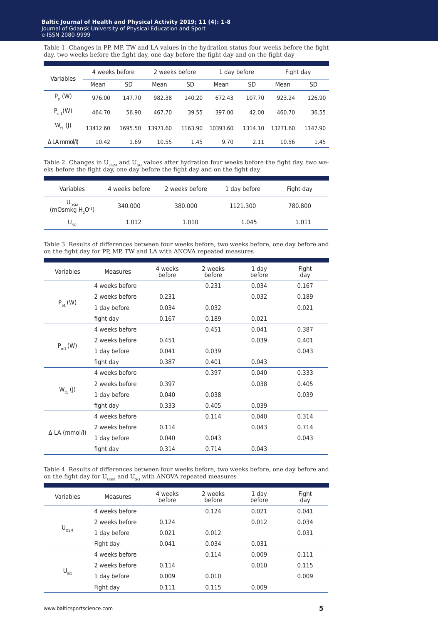Table 1. Changes in PP, MP, TW and LA values in the hydration status four weeks before the fight day, two weeks before the fight day, one day before the fight day and on the fight day

| Variables           | 4 weeks before |         | 2 weeks before |         | 1 day before |           | Fight day |           |
|---------------------|----------------|---------|----------------|---------|--------------|-----------|-----------|-----------|
|                     | Mean           | SD      | Mean           | SD      | Mean         | <b>SD</b> | Mean      | <b>SD</b> |
| $P_{n1}(W)$         | 976.00         | 147.70  | 982.38         | 140.20  | 672.43       | 107.70    | 923.24    | 126.90    |
| $P_{m1}(W)$         | 464.70         | 56.90   | 467.70         | 39.55   | 397.00       | 42.00     | 460.70    | 36.55     |
| $W_{11}$ (J)        | 13412.60       | 1695.50 | 13971.60       | 1163.90 | 10393.60     | 1314.10   | 13271.60  | 1147.90   |
| $\Delta$ LA mmol/l) | 10.42          | 1.69    | 10.55          | 1.45    | 9.70         | 2.11      | 10.56     | 1.45      |

Table 2. Changes in U<sub>osm</sub> and U<sub>sG</sub> values after hydration four weeks before the fight day, two we-<br>eks before the fight day, one day before the fight day and on the fight day

| Variables                                                 | 4 weeks before | 2 weeks before | 1 day before | Fight day |
|-----------------------------------------------------------|----------------|----------------|--------------|-----------|
| $U_{\text{OSM}}$ (mOsmkg H <sub>2</sub> O <sup>-1</sup> ) | 340.000        | 380,000        | 1121.300     | 780,800   |
| $U_{SG}$                                                  | 1.012          | 1.010          | 1.045        | 1.011     |

Table 3. Results of differences between four weeks before, two weeks before, one day before and on the fight day for PP, MP, TW and LA with ANOVA repeated measures

| Variables            | <b>Measures</b> | 4 weeks<br>before | 2 weeks<br>before | 1 day<br>before | Fight<br>day |
|----------------------|-----------------|-------------------|-------------------|-----------------|--------------|
| $P_{p1}(W)$          | 4 weeks before  |                   | 0.231             | 0.034           | 0.167        |
|                      | 2 weeks before  | 0.231             |                   | 0.032           | 0.189        |
|                      | 1 day before    | 0.034             | 0.032             |                 | 0.021        |
|                      | fight day       | 0.167             | 0.189             | 0.021           |              |
| $P_{m1}$ (W)         | 4 weeks before  |                   | 0.451             | 0.041           | 0.387        |
|                      | 2 weeks before  | 0.451             |                   | 0.039           | 0.401        |
|                      | 1 day before    | 0.041             | 0.039             |                 | 0.043        |
|                      | fight day       | 0.387             | 0.401             | 0.043           |              |
| $W_{t1}$ (J)         | 4 weeks before  |                   | 0.397             | 0.040           | 0.333        |
|                      | 2 weeks before  | 0.397             |                   | 0.038           | 0.405        |
|                      | 1 day before    | 0.040             | 0.038             |                 | 0.039        |
|                      | fight day       | 0.333             | 0.405             | 0.039           |              |
| $\Delta$ LA (mmol/l) | 4 weeks before  |                   | 0.114             | 0.040           | 0.314        |
|                      | 2 weeks before  | 0.114             |                   | 0.043           | 0.714        |
|                      | 1 day before    | 0.040             | 0.043             |                 | 0.043        |
|                      | fight day       | 0.314             | 0.714             | 0.043           |              |

Table 4. Results of differences between four weeks before, two weeks before, one day before and on the fight day for  $\rm U_{\rm \scriptscriptstyle OSM}$  and  $\rm U_{\rm \scriptscriptstyle SG}$  with ANOVA repeated measures

| Variables        | Measures       | 4 weeks<br>before | 2 weeks<br>before | $1$ day<br>before | Fight<br>day |
|------------------|----------------|-------------------|-------------------|-------------------|--------------|
| $U_{_{\rm OSM}}$ | 4 weeks before |                   | 0.124             | 0.021             | 0.041        |
|                  | 2 weeks before | 0.124             |                   | 0.012             | 0.034        |
|                  | 1 day before   | 0.021             | 0.012             |                   | 0.031        |
|                  | Fight day      | 0.041             | 0.034             | 0.031             |              |
| $U_{SG}$         | 4 weeks before |                   | 0.114             | 0.009             | 0.111        |
|                  | 2 weeks before | 0.114             |                   | 0.010             | 0.115        |
|                  | 1 day before   | 0.009             | 0.010             |                   | 0.009        |
|                  | Fight day      | 0.111             | 0.115             | 0.009             |              |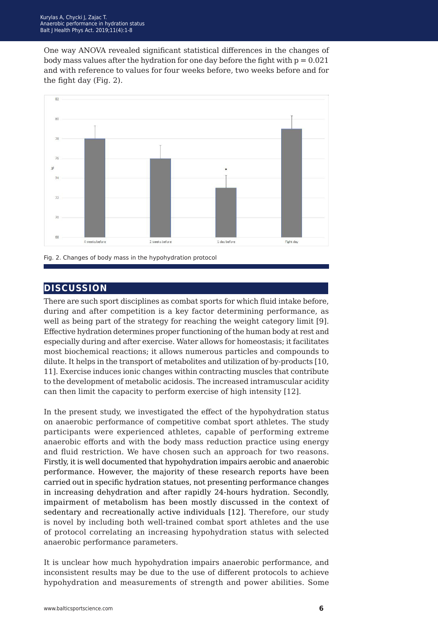One way ANOVA revealed significant statistical differences in the changes of body mass values after the hydration for one day before the fight with  $p = 0.021$ and with reference to values for four weeks before, two weeks before and for the fight day (Fig. 2).



Fig. 2. Changes of body mass in the hypohydration protocol

## **discussion**

There are such sport disciplines as combat sports for which fluid intake before, during and after competition is a key factor determining performance, as well as being part of the strategy for reaching the weight category limit [9]. Effective hydration determines proper functioning of the human body at rest and especially during and after exercise. Water allows for homeostasis; it facilitates most biochemical reactions; it allows numerous particles and compounds to dilute. It helps in the transport of metabolites and utilization of by-products [10, 11]. Exercise induces ionic changes within contracting muscles that contribute to the development of metabolic acidosis. The increased intramuscular acidity can then limit the capacity to perform exercise of high intensity [12].

In the present study, we investigated the effect of the hypohydration status on anaerobic performance of competitive combat sport athletes. The study participants were experienced athletes, capable of performing extreme anaerobic efforts and with the body mass reduction practice using energy and fluid restriction. We have chosen such an approach for two reasons. Firstly, it is well documented that hypohydration impairs aerobic and anaerobic performance. However, the majority of these research reports have been carried out in specific hydration statues, not presenting performance changes in increasing dehydration and after rapidly 24-hours hydration. Secondly, impairment of metabolism has been mostly discussed in the context of sedentary and recreationally active individuals [12]. Therefore, our study is novel by including both well-trained combat sport athletes and the use of protocol correlating an increasing hypohydration status with selected anaerobic performance parameters.

It is unclear how much hypohydration impairs anaerobic performance, and inconsistent results may be due to the use of different protocols to achieve hypohydration and measurements of strength and power abilities. Some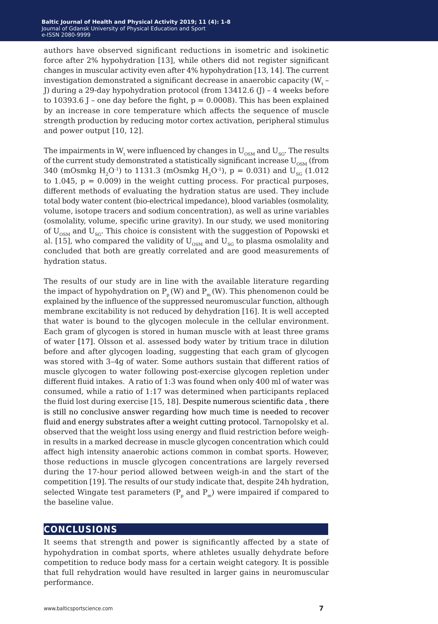authors have observed significant reductions in isometric and isokinetic force after 2% hypohydration [13], while others did not register significant changes in muscular activity even after 4% hypohydration [13, 14]. The current investigation demonstrated a significant decrease in anaerobic capacity (W<sub>t</sub> – J) during a 29-day hypohydration protocol (from 13412.6 (J) – 4 weeks before to 10393.6 J – one day before the fight,  $p = 0.0008$ ). This has been explained by an increase in core temperature which affects the sequence of muscle strength production by reducing motor cortex activation, peripheral stimulus and power output [10, 12].

The impairments in  $\bm{\mathsf{W}}_{\text{t}}$  were influenced by changes in  $\bm{\mathsf{U}}_{\text{OSM}}$  and  $\bm{\mathsf{U}}_{\text{SG}}.$  The results of the current study demonstrated a statistically significant increase  $U_{\text{OSM}}$  (from 340 (mOsmkg H<sub>2</sub>O<sup>-1</sup>) to 1131.3 (mOsmkg H<sub>2</sub>O<sup>-1</sup>),  $p = 0.031$ ) and U<sub>SG</sub> (1.012 to 1.045,  $p = 0.009$  in the weight cutting process. For practical purposes, different methods of evaluating the hydration status are used. They include total body water content (bio-electrical impedance), blood variables (osmolality, volume, isotope tracers and sodium concentration), as well as urine variables (osmolality, volume, specific urine gravity). In our study, we used monitoring of  $U_{OSM}$  and  $U_{SG}$ . This choice is consistent with the suggestion of Popowski et al. [15], who compared the validity of  $U_{OSM}$  and  $U_{SG}$  to plasma osmolality and concluded that both are greatly correlated and are good measurements of hydration status.

The results of our study are in line with the available literature regarding the impact of hypohydration on  $P_p(W)$  and  $P_m(W)$ . This phenomenon could be explained by the influence of the suppressed neuromuscular function, although membrane excitability is not reduced by dehydration [16]. It is well accepted that water is bound to the glycogen molecule in the cellular environment. Each gram of glycogen is stored in human muscle with at least three grams of water [17]. Olsson et al. assessed body water by tritium trace in dilution before and after glycogen loading, suggesting that each gram of glycogen was stored with 3–4g of water. Some authors sustain that different ratios of muscle glycogen to water following post-exercise glycogen repletion under different fluid intakes. A ratio of 1:3 was found when only 400 ml of water was consumed, while a ratio of 1:17 was determined when participants replaced the fluid lost during exercise [15, 18]. Despite numerous scientific data , there is still no conclusive answer regarding how much time is needed to recover fluid and energy substrates after a weight cutting protocol. Tarnopolsky et al. observed that the weight loss using energy and fluid restriction before weighin results in a marked decrease in muscle glycogen concentration which could affect high intensity anaerobic actions common in combat sports. However, those reductions in muscle glycogen concentrations are largely reversed during the 17-hour period allowed between weigh-in and the start of the competition [19]. The results of our study indicate that, despite 24h hydration, selected Wingate test parameters  $(P_p \text{ and } P_m)$  were impaired if compared to the baseline value.

### **conclusions**

It seems that strength and power is significantly affected by a state of hypohydration in combat sports, where athletes usually dehydrate before competition to reduce body mass for a certain weight category. It is possible that full rehydration would have resulted in larger gains in neuromuscular performance.